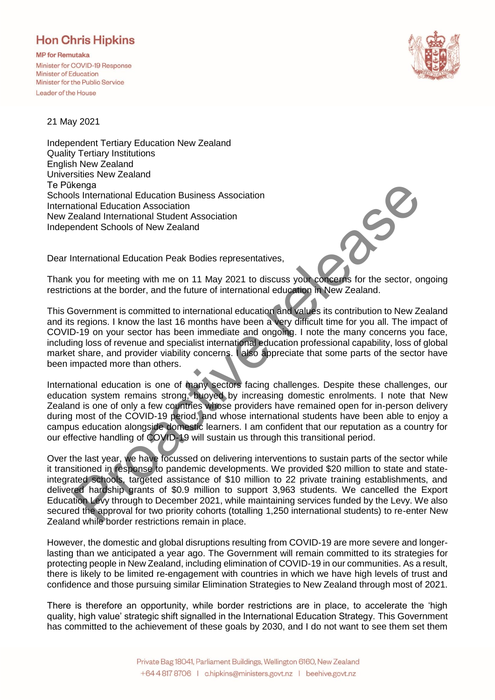## **Hon Chris Hipkins**

**MP** for Remutaka Minister for COVID-19 Response Minister of Education Minister for the Public Service Leader of the House



21 May 2021

Independent Tertiary Education New Zealand Quality Tertiary Institutions English New Zealand Universities New Zealand Te Pūkenga Schools International Education Business Association International Education Association New Zealand International Student Association Independent Schools of New Zealand

Dear International Education Peak Bodies representatives,

Thank you for meeting with me on 11 May 2021 to discuss your concerns for the sector, ongoing restrictions at the border, and the future of international education in New Zealand.

This Government is committed to international education and values its contribution to New Zealand and its regions. I know the last 16 months have been a very difficult time for you all. The impact of COVID-19 on your sector has been immediate and ongoing. I note the many concerns you face, including loss of revenue and specialist international education professional capability, loss of global market share, and provider viability concerns. I also appreciate that some parts of the sector have been impacted more than others.

International education is one of many sectors facing challenges. Despite these challenges, our education system remains strong, buoyed by increasing domestic enrolments. I note that New Zealand is one of only a few countries whose providers have remained open for in-person delivery during most of the COVID-19 period, and whose international students have been able to enjoy a campus education alongside domestic learners. I am confident that our reputation as a country for our effective handling of COVID-19 will sustain us through this transitional period.

Over the last year, we have focussed on delivering interventions to sustain parts of the sector while it transitioned in response to pandemic developments. We provided \$20 million to state and stateintegrated schools, targeted assistance of \$10 million to 22 private training establishments, and delivered hardship grants of \$0.9 million to support 3,963 students. We cancelled the Export Education Levy through to December 2021, while maintaining services funded by the Levy. We also secured the approval for two priority cohorts (totalling 1,250 international students) to re-enter New Zealand while border restrictions remain in place. kenga<br>
Is International Education Business Association<br>
Its International Education Association<br>
Its International Education Association<br>
Itenahand International Student Association<br>
International Education Peak Bodies rep

However, the domestic and global disruptions resulting from COVID-19 are more severe and longerlasting than we anticipated a year ago. The Government will remain committed to its strategies for protecting people in New Zealand, including elimination of COVID-19 in our communities. As a result, there is likely to be limited re-engagement with countries in which we have high levels of trust and confidence and those pursuing similar Elimination Strategies to New Zealand through most of 2021.

There is therefore an opportunity, while border restrictions are in place, to accelerate the 'high quality, high value' strategic shift signalled in the International Education Strategy. This Government has committed to the achievement of these goals by 2030, and I do not want to see them set them